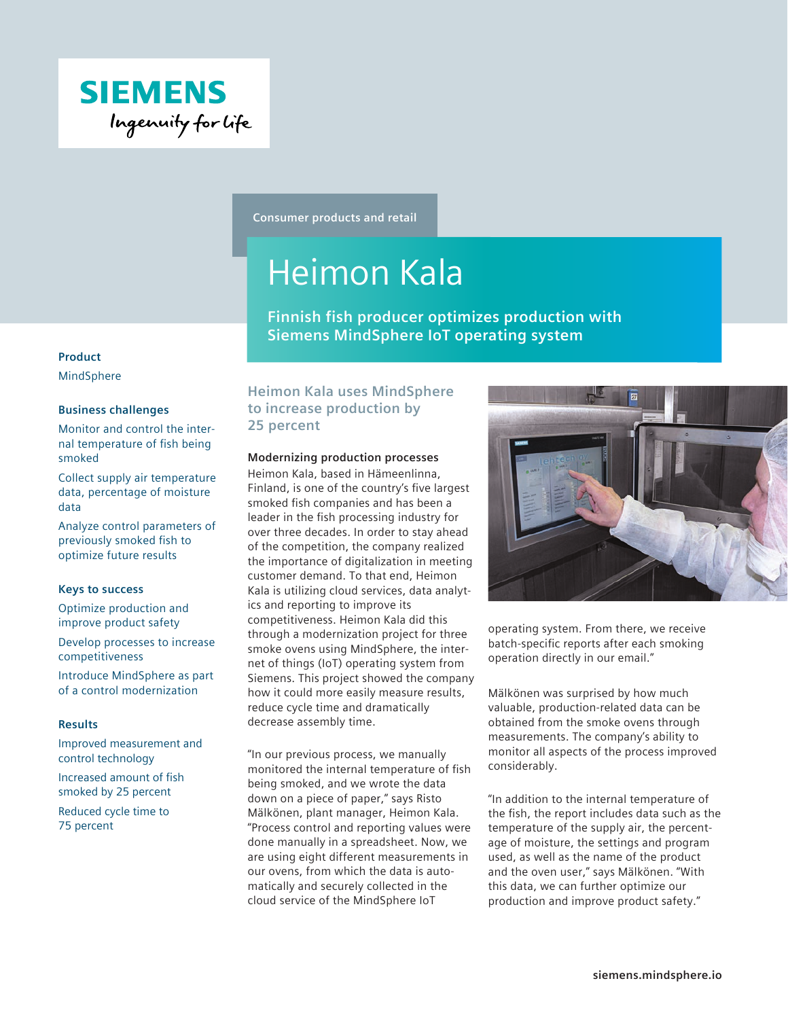

**Consumer products and retail**

# Heimon Kala

**Finnish fish producer optimizes production with Siemens MindSphere IoT operating system**

#### **Product**

MindSphere

# **Business challenges**

Monitor and control the internal temperature of fish being smoked

Collect supply air temperature data, percentage of moisture data

Analyze control parameters of previously smoked fish to optimize future results

# **Keys to success**

Optimize production and improve product safety

Develop processes to increase competitiveness

Introduce MindSphere as part of a control modernization

# **Results**

Improved measurement and control technology

Increased amount of fish smoked by 25 percent

Reduced cycle time to 75 percent

# **Heimon Kala uses MindSphere to increase production by 25 percent**

# **Modernizing production processes**

Heimon Kala, based in Hämeenlinna, Finland, is one of the country's five largest smoked fish companies and has been a leader in the fish processing industry for over three decades. In order to stay ahead of the competition, the company realized the importance of digitalization in meeting customer demand. To that end, Heimon Kala is utilizing cloud services, data analytics and reporting to improve its competitiveness. Heimon Kala did this through a modernization project for three smoke ovens using MindSphere, the internet of things (IoT) operating system from Siemens. This project showed the company how it could more easily measure results, reduce cycle time and dramatically decrease assembly time.

"In our previous process, we manually monitored the internal temperature of fish being smoked, and we wrote the data down on a piece of paper," says Risto Mälkönen, plant manager, Heimon Kala. "Process control and reporting values were done manually in a spreadsheet. Now, we are using eight different measurements in our ovens, from which the data is automatically and securely collected in the cloud service of the MindSphere IoT



operating system. From there, we receive batch-specific reports after each smoking operation directly in our email."

Mälkönen was surprised by how much valuable, production-related data can be obtained from the smoke ovens through measurements. The company's ability to monitor all aspects of the process improved considerably.

"In addition to the internal temperature of the fish, the report includes data such as the temperature of the supply air, the percentage of moisture, the settings and program used, as well as the name of the product and the oven user," says Mälkönen. "With this data, we can further optimize our production and improve product safety."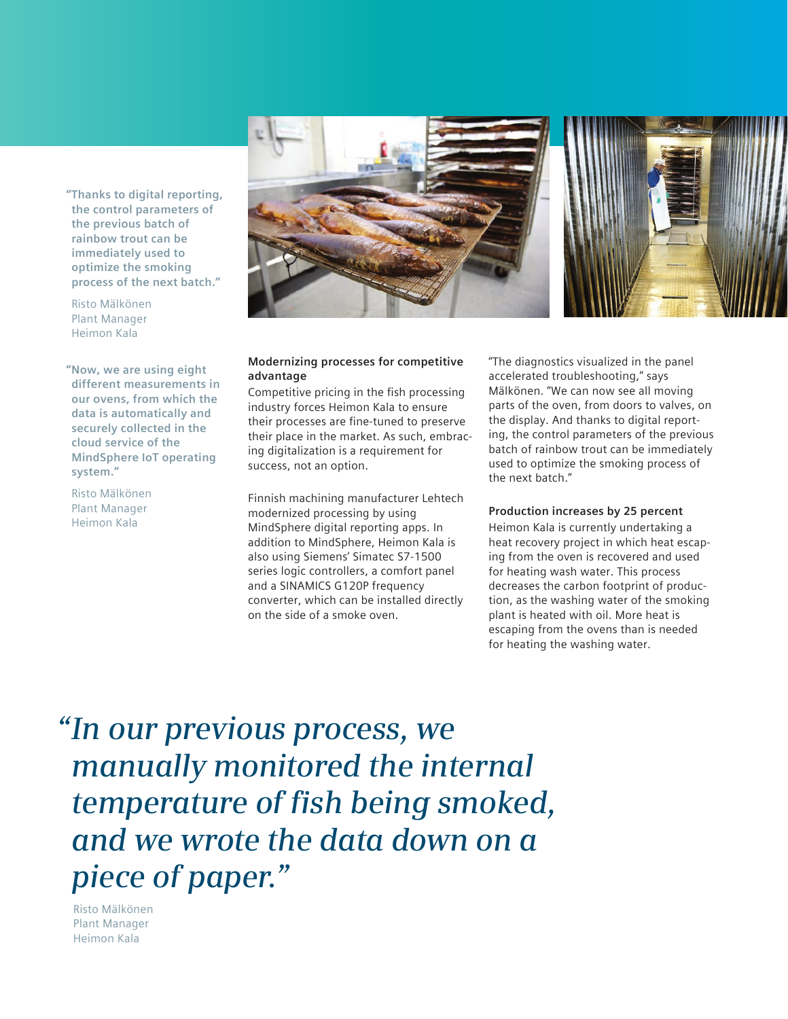

Risto Mälkönen Plant Manager Heimon Kala

**"Now, we are using eight different measurements in our ovens, from which the data is automatically and securely collected in the cloud service of the MindSphere IoT operating system."**

Risto Mälkönen Plant Manager Heimon Kala



#### **Modernizing processes for competitive advantage**

Competitive pricing in the fish processing industry forces Heimon Kala to ensure their processes are fine-tuned to preserve their place in the market. As such, embracing digitalization is a requirement for success, not an option.

Finnish machining manufacturer Lehtech modernized processing by using MindSphere digital reporting apps. In addition to MindSphere, Heimon Kala is also using Siemens' Simatec S7-1500 series logic controllers, a comfort panel and a SINAMICS G120P frequency converter, which can be installed directly on the side of a smoke oven.

"The diagnostics visualized in the panel accelerated troubleshooting," says Mälkönen. "We can now see all moving parts of the oven, from doors to valves, on the display. And thanks to digital reporting, the control parameters of the previous batch of rainbow trout can be immediately used to optimize the smoking process of the next batch."

# **Production increases by 25 percent**

Heimon Kala is currently undertaking a heat recovery project in which heat escaping from the oven is recovered and used for heating wash water. This process decreases the carbon footprint of production, as the washing water of the smoking plant is heated with oil. More heat is escaping from the ovens than is needed for heating the washing water.

*"In our previous process, we manually monitored the internal temperature of fish being smoked, and we wrote the data down on a piece of paper."*

Risto Mälkönen Plant Manager Heimon Kala